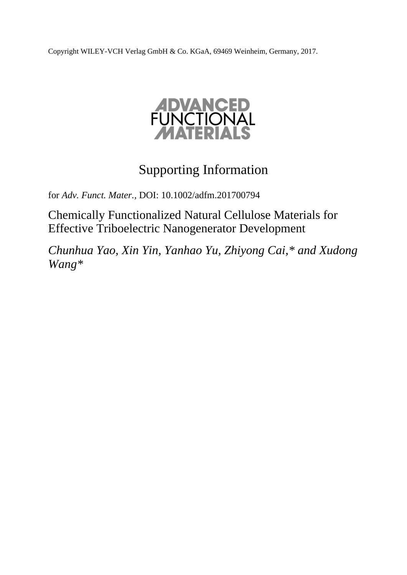Copyright WILEY-VCH Verlag GmbH & Co. KGaA, 69469 Weinheim, Germany, 2017.



# Supporting Information

for *Adv. Funct. Mater.,* DOI: 10.1002/adfm.201700794

Chemically Functionalized Natural Cellulose Materials for Effective Triboelectric Nanogenerator Development

*Chunhua Yao, Xin Yin, Yanhao Yu, Zhiyong Cai,\* and Xudong Wang\**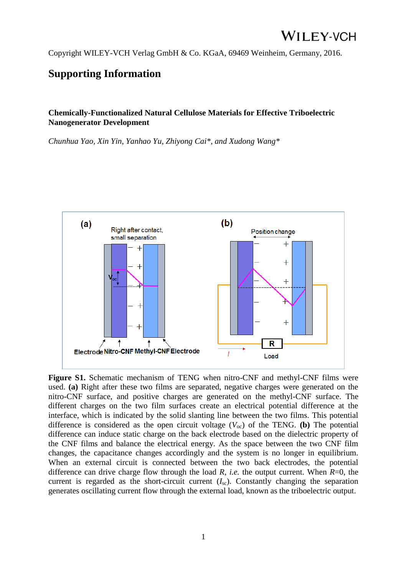Copyright WILEY-VCH Verlag GmbH & Co. KGaA, 69469 Weinheim, Germany, 2016.

### **Supporting Information**

#### **Chemically-Functionalized Natural Cellulose Materials for Effective Triboelectric Nanogenerator Development**

*Chunhua Yao, Xin Yin, Yanhao Yu, Zhiyong Cai\*, and Xudong Wang\** 



**Figure S1.** Schematic mechanism of TENG when nitro-CNF and methyl-CNF films were used. **(a)** Right after these two films are separated, negative charges were generated on the nitro-CNF surface, and positive charges are generated on the methyl-CNF surface. The different charges on the two film surfaces create an electrical potential difference at the interface, which is indicated by the solid slanting line between the two films. This potential difference is considered as the open circuit voltage  $(V_{\text{oc}})$  of the TENG. **(b)** The potential difference can induce static charge on the back electrode based on the dielectric property of the CNF films and balance the electrical energy. As the space between the two CNF film changes, the capacitance changes accordingly and the system is no longer in equilibrium. When an external circuit is connected between the two back electrodes, the potential difference can drive charge flow through the load *R*, *i.e.* the output current. When *R*=0, the current is regarded as the short-circuit current  $(I_{\rm sc})$ . Constantly changing the separation generates oscillating current flow through the external load, known as the triboelectric output.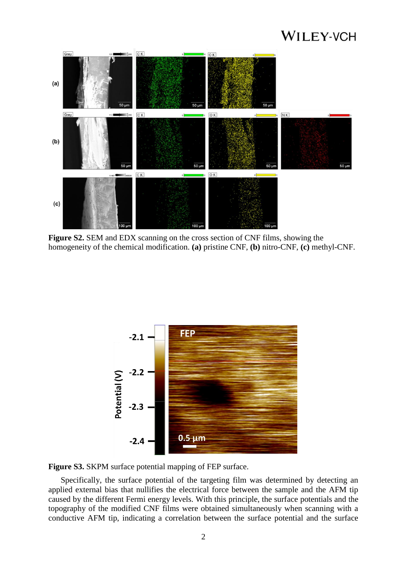## **WILEY-VCH**



**Figure S2.** SEM and EDX scanning on the cross section of CNF films, showing the homogeneity of the chemical modification. **(a)** pristine CNF, **(b)** nitro-CNF, **(c)** methyl-CNF.



**Figure S3.** SKPM surface potential mapping of FEP surface.

Specifically, the surface potential of the targeting film was determined by detecting an applied external bias that nullifies the electrical force between the sample and the AFM tip caused by the different Fermi energy levels. With this principle, the surface potentials and the topography of the modified CNF films were obtained simultaneously when scanning with a conductive AFM tip, indicating a correlation between the surface potential and the surface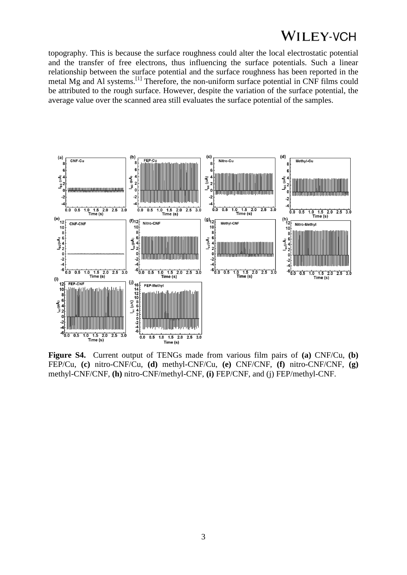### **WILEY-VCH**

topography. This is because the surface roughness could alter the local electrostatic potential and the transfer of free electrons, thus influencing the surface potentials. Such a linear relationship between the surface potential and the surface roughness has been reported in the metal Mg and Al systems.[1] Therefore, the non-uniform surface potential in CNF films could be attributed to the rough surface. However, despite the variation of the surface potential, the average value over the scanned area still evaluates the surface potential of the samples.



**Figure S4.** Current output of TENGs made from various film pairs of **(a)** CNF/Cu, **(b)** FEP/Cu, **(c)** nitro-CNF/Cu, **(d)** methyl-CNF/Cu, **(e)** CNF/CNF, **(f)** nitro-CNF/CNF, **(g)** methyl-CNF/CNF, **(h)** nitro-CNF/methyl-CNF, **(i)** FEP/CNF, and (j) FEP/methyl-CNF.